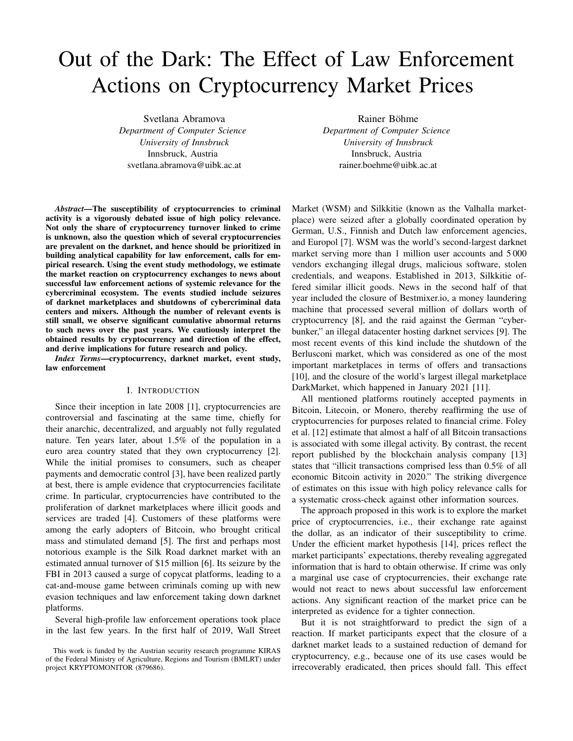# Out of the Dark: The Effect of Law Enforcement Actions on Cryptocurrency Market Prices

Svetlana Abramova *Department of Computer Science University of Innsbruck* Innsbruck, Austria svetlana.abramova@uibk.ac.at

*Abstract*—The susceptibility of cryptocurrencies to criminal activity is a vigorously debated issue of high policy relevance. Not only the share of cryptocurrency turnover linked to crime is unknown, also the question which of several cryptocurrencies are prevalent on the darknet, and hence should be prioritized in building analytical capability for law enforcement, calls for empirical research. Using the event study methodology, we estimate the market reaction on cryptocurrency exchanges to news about successful law enforcement actions of systemic relevance for the cybercriminal ecosystem. The events studied include seizures of darknet marketplaces and shutdowns of cybercriminal data centers and mixers. Although the number of relevant events is still small, we observe significant cumulative abnormal returns to such news over the past years. We cautiously interpret the obtained results by cryptocurrency and direction of the effect, and derive implications for future research and policy.

*Index Terms*—cryptocurrency, darknet market, event study, law enforcement

#### I. INTRODUCTION

Since their inception in late 2008 [1], cryptocurrencies are controversial and fascinating at the same time, chiefly for their anarchic, decentralized, and arguably not fully regulated nature. Ten years later, about 1.5% of the population in a euro area country stated that they own cryptocurrency [2]. While the initial promises to consumers, such as cheaper payments and democratic control [3], have been realized partly at best, there is ample evidence that cryptocurrencies facilitate crime. In particular, cryptocurrencies have contributed to the proliferation of darknet marketplaces where illicit goods and services are traded [4]. Customers of these platforms were among the early adopters of Bitcoin, who brought critical mass and stimulated demand [5]. The first and perhaps most notorious example is the Silk Road darknet market with an estimated annual turnover of \$15 million [6]. Its seizure by the FBI in 2013 caused a surge of copycat platforms, leading to a cat-and-mouse game between criminals coming up with new evasion techniques and law enforcement taking down darknet platforms.

Several high-profile law enforcement operations took place in the last few years. In the first half of 2019, Wall Street

Rainer Böhme *Department of Computer Science University of Innsbruck* Innsbruck, Austria rainer.boehme@uibk.ac.at

Market (WSM) and Silkkitie (known as the Valhalla marketplace) were seized after a globally coordinated operation by German, U.S., Finnish and Dutch law enforcement agencies, and Europol [7]. WSM was the world's second-largest darknet market serving more than 1 million user accounts and 5000 vendors exchanging illegal drugs, malicious software, stolen credentials, and weapons. Established in 2013, Silkkitie offered similar illicit goods. News in the second half of that year included the closure of Bestmixer.io, a money laundering machine that processed several million of dollars worth of cryptocurrency [8], and the raid against the German "cyberbunker," an illegal datacenter hosting darknet services [9]. The most recent events of this kind include the shutdown of the Berlusconi market, which was considered as one of the most important marketplaces in terms of offers and transactions [10], and the closure of the world's largest illegal marketplace DarkMarket, which happened in January 2021 [11].

All mentioned platforms routinely accepted payments in Bitcoin, Litecoin, or Monero, thereby reaffirming the use of cryptocurrencies for purposes related to financial crime. Foley et al. [12] estimate that almost a half of all Bitcoin transactions is associated with some illegal activity. By contrast, the recent report published by the blockchain analysis company [13] states that "illicit transactions comprised less than 0.5% of all economic Bitcoin activity in 2020." The striking divergence of estimates on this issue with high policy relevance calls for a systematic cross-check against other information sources.

The approach proposed in this work is to explore the market price of cryptocurrencies, i.e., their exchange rate against the dollar, as an indicator of their susceptibility to crime. Under the efficient market hypothesis [14], prices reflect the market participants' expectations, thereby revealing aggregated information that is hard to obtain otherwise. If crime was only a marginal use case of cryptocurrencies, their exchange rate would not react to news about successful law enforcement actions. Any significant reaction of the market price can be interpreted as evidence for a tighter connection.

But it is not straightforward to predict the sign of a reaction. If market participants expect that the closure of a darknet market leads to a sustained reduction of demand for cryptocurrency, e.g., because one of its use cases would be irrecoverably eradicated, then prices should fall. This effect

This work is funded by the Austrian security research programme KIRAS of the Federal Ministry of Agriculture, Regions and Tourism (BMLRT) under project KRYPTOMONITOR (879686).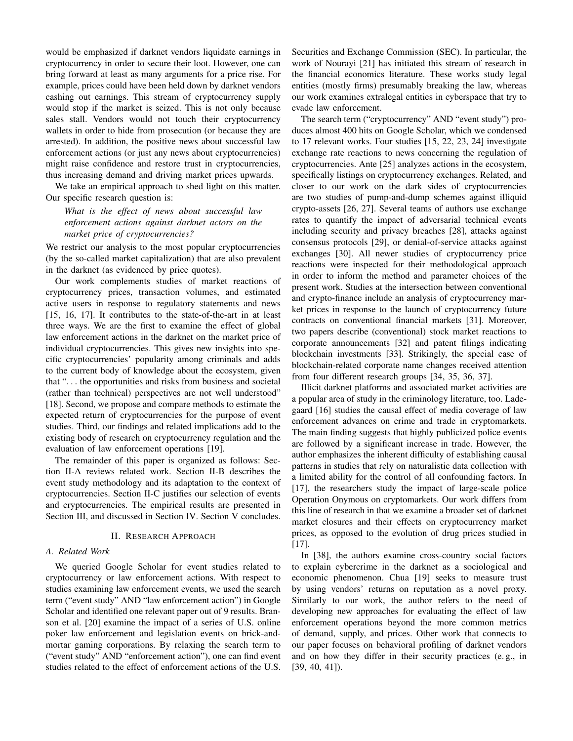would be emphasized if darknet vendors liquidate earnings in cryptocurrency in order to secure their loot. However, one can bring forward at least as many arguments for a price rise. For example, prices could have been held down by darknet vendors cashing out earnings. This stream of cryptocurrency supply would stop if the market is seized. This is not only because sales stall. Vendors would not touch their cryptocurrency wallets in order to hide from prosecution (or because they are arrested). In addition, the positive news about successful law enforcement actions (or just any news about cryptocurrencies) might raise confidence and restore trust in cryptocurrencies, thus increasing demand and driving market prices upwards.

We take an empirical approach to shed light on this matter. Our specific research question is:

*What is the effect of news about successful law enforcement actions against darknet actors on the market price of cryptocurrencies?*

We restrict our analysis to the most popular cryptocurrencies (by the so-called market capitalization) that are also prevalent in the darknet (as evidenced by price quotes).

Our work complements studies of market reactions of cryptocurrency prices, transaction volumes, and estimated active users in response to regulatory statements and news [15, 16, 17]. It contributes to the state-of-the-art in at least three ways. We are the first to examine the effect of global law enforcement actions in the darknet on the market price of individual cryptocurrencies. This gives new insights into specific cryptocurrencies' popularity among criminals and adds to the current body of knowledge about the ecosystem, given that ". . . the opportunities and risks from business and societal (rather than technical) perspectives are not well understood" [18]. Second, we propose and compare methods to estimate the expected return of cryptocurrencies for the purpose of event studies. Third, our findings and related implications add to the existing body of research on cryptocurrency regulation and the evaluation of law enforcement operations [19].

The remainder of this paper is organized as follows: Section II-A reviews related work. Section II-B describes the event study methodology and its adaptation to the context of cryptocurrencies. Section II-C justifies our selection of events and cryptocurrencies. The empirical results are presented in Section III, and discussed in Section IV. Section V concludes.

#### II. RESEARCH APPROACH

## *A. Related Work*

We queried Google Scholar for event studies related to cryptocurrency or law enforcement actions. With respect to studies examining law enforcement events, we used the search term ("event study" AND "law enforcement action") in Google Scholar and identified one relevant paper out of 9 results. Branson et al. [20] examine the impact of a series of U.S. online poker law enforcement and legislation events on brick-andmortar gaming corporations. By relaxing the search term to ("event study" AND "enforcement action"), one can find event studies related to the effect of enforcement actions of the U.S. Securities and Exchange Commission (SEC). In particular, the work of Nourayi [21] has initiated this stream of research in the financial economics literature. These works study legal entities (mostly firms) presumably breaking the law, whereas our work examines extralegal entities in cyberspace that try to evade law enforcement.

The search term ("cryptocurrency" AND "event study") produces almost 400 hits on Google Scholar, which we condensed to 17 relevant works. Four studies [15, 22, 23, 24] investigate exchange rate reactions to news concerning the regulation of cryptocurrencies. Ante [25] analyzes actions in the ecosystem, specifically listings on cryptocurrency exchanges. Related, and closer to our work on the dark sides of cryptocurrencies are two studies of pump-and-dump schemes against illiquid crypto-assets [26, 27]. Several teams of authors use exchange rates to quantify the impact of adversarial technical events including security and privacy breaches [28], attacks against consensus protocols [29], or denial-of-service attacks against exchanges [30]. All newer studies of cryptocurrency price reactions were inspected for their methodological approach in order to inform the method and parameter choices of the present work. Studies at the intersection between conventional and crypto-finance include an analysis of cryptocurrency market prices in response to the launch of cryptocurrency future contracts on conventional financial markets [31]. Moreover, two papers describe (conventional) stock market reactions to corporate announcements [32] and patent filings indicating blockchain investments [33]. Strikingly, the special case of blockchain-related corporate name changes received attention from four different research groups [34, 35, 36, 37].

Illicit darknet platforms and associated market activities are a popular area of study in the criminology literature, too. Ladegaard [16] studies the causal effect of media coverage of law enforcement advances on crime and trade in cryptomarkets. The main finding suggests that highly publicized police events are followed by a significant increase in trade. However, the author emphasizes the inherent difficulty of establishing causal patterns in studies that rely on naturalistic data collection with a limited ability for the control of all confounding factors. In [17], the researchers study the impact of large-scale police Operation Onymous on cryptomarkets. Our work differs from this line of research in that we examine a broader set of darknet market closures and their effects on cryptocurrency market prices, as opposed to the evolution of drug prices studied in [17].

In [38], the authors examine cross-country social factors to explain cybercrime in the darknet as a sociological and economic phenomenon. Chua [19] seeks to measure trust by using vendors' returns on reputation as a novel proxy. Similarly to our work, the author refers to the need of developing new approaches for evaluating the effect of law enforcement operations beyond the more common metrics of demand, supply, and prices. Other work that connects to our paper focuses on behavioral profiling of darknet vendors and on how they differ in their security practices (e. g., in [39, 40, 41]).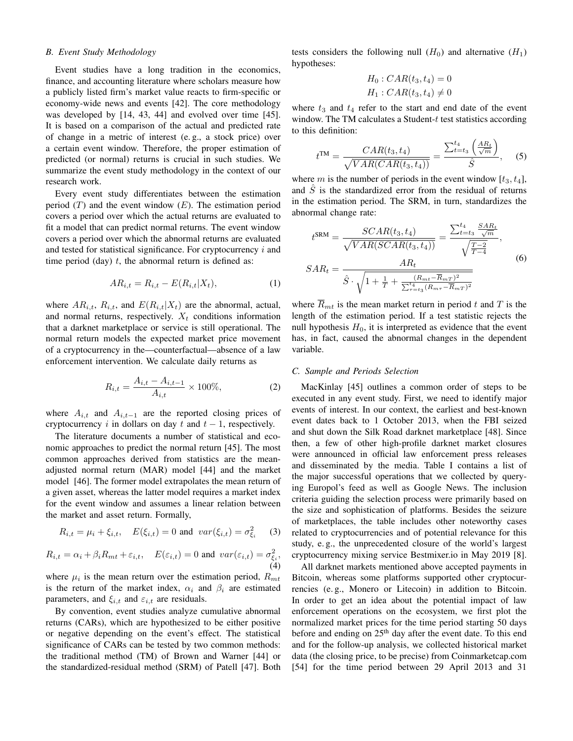#### *B. Event Study Methodology*

Event studies have a long tradition in the economics, finance, and accounting literature where scholars measure how a publicly listed firm's market value reacts to firm-specific or economy-wide news and events [42]. The core methodology was developed by [14, 43, 44] and evolved over time [45]. It is based on a comparison of the actual and predicted rate of change in a metric of interest (e. g., a stock price) over a certain event window. Therefore, the proper estimation of predicted (or normal) returns is crucial in such studies. We summarize the event study methodology in the context of our research work.

Every event study differentiates between the estimation period  $(T)$  and the event window  $(E)$ . The estimation period covers a period over which the actual returns are evaluated to fit a model that can predict normal returns. The event window covers a period over which the abnormal returns are evaluated and tested for statistical significance. For cryptocurrency i and time period (day)  $t$ , the abnormal return is defined as:

$$
AR_{i,t} = R_{i,t} - E(R_{i,t}|X_t),
$$
\n(1)

where  $AR_{i,t}$ ,  $R_{i,t}$ , and  $E(R_{i,t}|X_t)$  are the abnormal, actual, and normal returns, respectively.  $X_t$  conditions information that a darknet marketplace or service is still operational. The normal return models the expected market price movement of a cryptocurrency in the—counterfactual—absence of a law enforcement intervention. We calculate daily returns as

$$
R_{i,t} = \frac{A_{i,t} - A_{i,t-1}}{A_{i,t}} \times 100\%,\tag{2}
$$

where  $A_{i,t}$  and  $A_{i,t-1}$  are the reported closing prices of cryptocurrency i in dollars on day t and  $t - 1$ , respectively.

The literature documents a number of statistical and economic approaches to predict the normal return [45]. The most common approaches derived from statistics are the meanadjusted normal return (MAR) model [44] and the market model [46]. The former model extrapolates the mean return of a given asset, whereas the latter model requires a market index for the event window and assumes a linear relation between the market and asset return. Formally,

$$
R_{i,t} = \mu_i + \xi_{i,t}, \quad E(\xi_{i,t}) = 0 \text{ and } var(\xi_{i,t}) = \sigma_{\xi_i}^2
$$
 (3)

$$
R_{i,t} = \alpha_i + \beta_i R_{mt} + \varepsilon_{i,t}, \quad E(\varepsilon_{i,t}) = 0 \text{ and } var(\varepsilon_{i,t}) = \sigma_{\xi_i}^2,
$$
\n(4)

where  $\mu_i$  is the mean return over the estimation period,  $R_{mt}$ is the return of the market index,  $\alpha_i$  and  $\beta_i$  are estimated parameters, and  $\xi_{i,t}$  and  $\varepsilon_{i,t}$  are residuals.

By convention, event studies analyze cumulative abnormal returns (CARs), which are hypothesized to be either positive or negative depending on the event's effect. The statistical significance of CARs can be tested by two common methods: the traditional method (TM) of Brown and Warner [44] or the standardized-residual method (SRM) of Patell [47]. Both tests considers the following null  $(H_0)$  and alternative  $(H_1)$ hypotheses:

$$
H_0: CAR(t_3, t_4) = 0
$$
  

$$
H_1: CAR(t_3, t_4) \neq 0
$$

where  $t_3$  and  $t_4$  refer to the start and end date of the event window. The TM calculates a Student- $t$  test statistics according to this definition:

$$
t^{\text{TM}} = \frac{CAR(t_3, t_4)}{\sqrt{VAR(CAR(t_3, t_4))}} = \frac{\sum_{t=t_3}^{t_4} \left(\frac{AR_t}{\sqrt{m}}\right)}{\hat{S}}, \quad (5)
$$

where m is the number of periods in the event window  $[t_3, t_4]$ , and  $\hat{S}$  is the standardized error from the residual of returns in the estimation period. The SRM, in turn, standardizes the abnormal change rate:

$$
t^{\text{SRM}} = \frac{SCAR(t_3, t_4)}{\sqrt{VAR(SCAR(t_3, t_4))}} = \frac{\sum_{t=t_3}^{t_4} \frac{SAR_t}{\sqrt{m}}}{\sqrt{\frac{T-2}{T-4}}},
$$
  

$$
SAR_t = \frac{AR_t}{\hat{S} \cdot \sqrt{1 + \frac{1}{T} + \frac{(R_{mt} - \overline{R}_{mT})^2}{\sum_{\tau=t_3}^{t_4} (R_{m\tau} - \overline{R}_{mT})^2}}}
$$
(6)

where  $R_{mt}$  is the mean market return in period t and T is the length of the estimation period. If a test statistic rejects the null hypothesis  $H_0$ , it is interpreted as evidence that the event has, in fact, caused the abnormal changes in the dependent variable.

#### *C. Sample and Periods Selection*

MacKinlay [45] outlines a common order of steps to be executed in any event study. First, we need to identify major events of interest. In our context, the earliest and best-known event dates back to 1 October 2013, when the FBI seized and shut down the Silk Road darknet marketplace [48]. Since then, a few of other high-profile darknet market closures were announced in official law enforcement press releases and disseminated by the media. Table I contains a list of the major successful operations that we collected by querying Europol's feed as well as Google News. The inclusion criteria guiding the selection process were primarily based on the size and sophistication of platforms. Besides the seizure of marketplaces, the table includes other noteworthy cases related to cryptocurrencies and of potential relevance for this study, e. g., the unprecedented closure of the world's largest cryptocurrency mixing service Bestmixer.io in May 2019 [8].

All darknet markets mentioned above accepted payments in Bitcoin, whereas some platforms supported other cryptocurrencies (e. g., Monero or Litecoin) in addition to Bitcoin. In order to get an idea about the potential impact of law enforcement operations on the ecosystem, we first plot the normalized market prices for the time period starting 50 days before and ending on 25<sup>th</sup> day after the event date. To this end and for the follow-up analysis, we collected historical market data (the closing price, to be precise) from Coinmarketcap.com [54] for the time period between 29 April 2013 and 31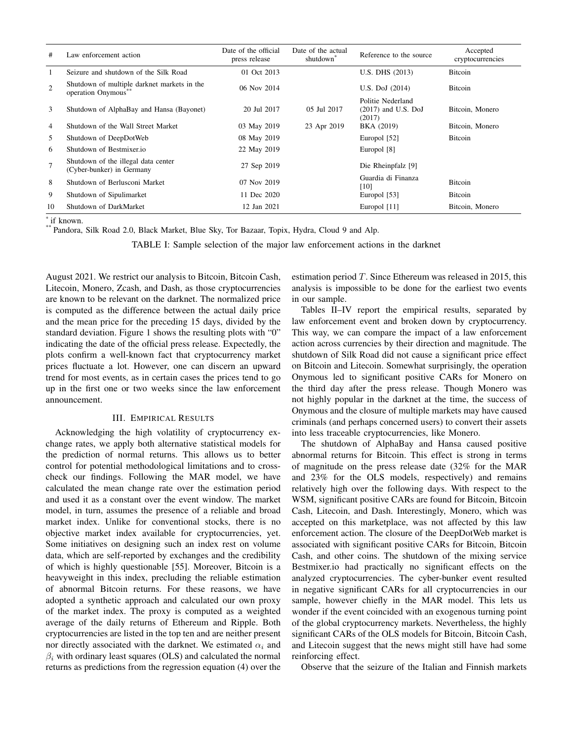| #              | Law enforcement action                                            | Date of the official<br>press release | Date of the actual<br>shutdown | Reference to the source                              | Accepted<br>cryptocurrencies |
|----------------|-------------------------------------------------------------------|---------------------------------------|--------------------------------|------------------------------------------------------|------------------------------|
| $\mathbf{1}$   | Seizure and shutdown of the Silk Road                             | 01 Oct 2013                           |                                | U.S. DHS (2013)                                      | <b>Bitcoin</b>               |
| 2              | Shutdown of multiple darknet markets in the<br>operation Onymous" | 06 Nov 2014                           |                                | U.S. DoJ $(2014)$                                    | <b>Bitcoin</b>               |
| 3              | Shutdown of AlphaBay and Hansa (Bayonet)                          | 20 Jul 2017                           | 05 Jul 2017                    | Politie Nederland<br>$(2017)$ and U.S. DoJ<br>(2017) | Bitcoin, Monero              |
| $\overline{4}$ | Shutdown of the Wall Street Market                                | 03 May 2019                           | 23 Apr 2019                    | BKA (2019)                                           | Bitcoin, Monero              |
| 5              | Shutdown of DeepDotWeb                                            | 08 May 2019                           |                                | Europol [52]                                         | <b>Bitcoin</b>               |
| -6             | Shutdown of Bestmixer.io                                          | 22 May 2019                           |                                | Europol [8]                                          |                              |
| $\tau$         | Shutdown of the illegal data center<br>(Cyber-bunker) in Germany  | 27 Sep 2019                           |                                | Die Rheinpfalz [9]                                   |                              |
| 8              | Shutdown of Berlusconi Market                                     | 07 Nov 2019                           |                                | Guardia di Finanza<br>[10]                           | <b>Bitcoin</b>               |
| 9              | Shutdown of Sipulimarket                                          | 11 Dec 2020                           |                                | Europol [53]                                         | <b>Bitcoin</b>               |
| 10             | Shutdown of DarkMarket                                            | 12 Jan 2021                           |                                | Europol [11]                                         | Bitcoin, Monero              |

\* if known.

\*\* Pandora, Silk Road 2.0, Black Market, Blue Sky, Tor Bazaar, Topix, Hydra, Cloud 9 and Alp.

TABLE I: Sample selection of the major law enforcement actions in the darknet

August 2021. We restrict our analysis to Bitcoin, Bitcoin Cash, Litecoin, Monero, Zcash, and Dash, as those cryptocurrencies are known to be relevant on the darknet. The normalized price is computed as the difference between the actual daily price and the mean price for the preceding 15 days, divided by the standard deviation. Figure 1 shows the resulting plots with "0" indicating the date of the official press release. Expectedly, the plots confirm a well-known fact that cryptocurrency market prices fluctuate a lot. However, one can discern an upward trend for most events, as in certain cases the prices tend to go up in the first one or two weeks since the law enforcement announcement.

# III. EMPIRICAL RESULTS

Acknowledging the high volatility of cryptocurrency exchange rates, we apply both alternative statistical models for the prediction of normal returns. This allows us to better control for potential methodological limitations and to crosscheck our findings. Following the MAR model, we have calculated the mean change rate over the estimation period and used it as a constant over the event window. The market model, in turn, assumes the presence of a reliable and broad market index. Unlike for conventional stocks, there is no objective market index available for cryptocurrencies, yet. Some initiatives on designing such an index rest on volume data, which are self-reported by exchanges and the credibility of which is highly questionable [55]. Moreover, Bitcoin is a heavyweight in this index, precluding the reliable estimation of abnormal Bitcoin returns. For these reasons, we have adopted a synthetic approach and calculated our own proxy of the market index. The proxy is computed as a weighted average of the daily returns of Ethereum and Ripple. Both cryptocurrencies are listed in the top ten and are neither present nor directly associated with the darknet. We estimated  $\alpha_i$  and  $\beta_i$  with ordinary least squares (OLS) and calculated the normal returns as predictions from the regression equation (4) over the

estimation period  $T$ . Since Ethereum was released in 2015, this analysis is impossible to be done for the earliest two events in our sample.

Tables II–IV report the empirical results, separated by law enforcement event and broken down by cryptocurrency. This way, we can compare the impact of a law enforcement action across currencies by their direction and magnitude. The shutdown of Silk Road did not cause a significant price effect on Bitcoin and Litecoin. Somewhat surprisingly, the operation Onymous led to significant positive CARs for Monero on the third day after the press release. Though Monero was not highly popular in the darknet at the time, the success of Onymous and the closure of multiple markets may have caused criminals (and perhaps concerned users) to convert their assets into less traceable cryptocurrencies, like Monero.

The shutdown of AlphaBay and Hansa caused positive abnormal returns for Bitcoin. This effect is strong in terms of magnitude on the press release date (32% for the MAR and 23% for the OLS models, respectively) and remains relatively high over the following days. With respect to the WSM, significant positive CARs are found for Bitcoin, Bitcoin Cash, Litecoin, and Dash. Interestingly, Monero, which was accepted on this marketplace, was not affected by this law enforcement action. The closure of the DeepDotWeb market is associated with significant positive CARs for Bitcoin, Bitcoin Cash, and other coins. The shutdown of the mixing service Bestmixer.io had practically no significant effects on the analyzed cryptocurrencies. The cyber-bunker event resulted in negative significant CARs for all cryptocurrencies in our sample, however chiefly in the MAR model. This lets us wonder if the event coincided with an exogenous turning point of the global cryptocurrency markets. Nevertheless, the highly significant CARs of the OLS models for Bitcoin, Bitcoin Cash, and Litecoin suggest that the news might still have had some reinforcing effect.

Observe that the seizure of the Italian and Finnish markets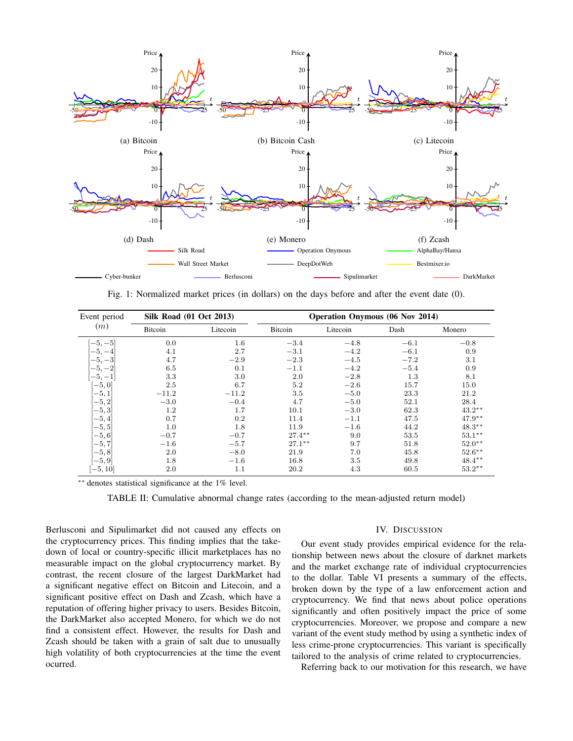

Fig. 1: Normalized market prices (in dollars) on the days before and after the event date (0).

| Event period | <b>Silk Road (01 Oct 2013)</b> |          |                | <b>Operation Onymous (06 Nov 2014)</b> |        |           |
|--------------|--------------------------------|----------|----------------|----------------------------------------|--------|-----------|
| (m)          | <b>Bitcoin</b>                 | Litecoin | <b>Bitcoin</b> | Litecoin                               | Dash   | Monero    |
| $[-5, -5]$   | 0.0                            | $1.6\,$  | $-3.4$         | $-4.8$                                 | $-6.1$ | $-0.8$    |
| $-5.$        | 4.1                            | 2.7      | $-3.1$         | $-4.2$                                 | $-6.1$ | 0.9       |
| $-5,$        | 4.7                            | $-2.9$   | $-2.3$         | $-4.5$                                 | $-7.2$ | 3.1       |
| $-5,$        | 6.5                            | 0.1      | $-1.1$         | $-4.2$                                 | $-5.4$ | 0.9       |
| $-5, -1$     | 3.3                            | 3.0      | 2.0            | $-2.8$                                 | 1.3    | 8.1       |
| $[-5, 0]$    | 2.5                            | 6.7      | 5.2            | $-2.6$                                 | 15.7   | 15.0      |
| $-5,1$       | $-11.2$                        | $-11.2$  | 3.5            | $-5.0$                                 | 23.3   | 21.2      |
| $[-5, 2]$    | $-3.0$                         | $-0.4$   | 4.7            | $-5.0$                                 | 52.1   | 28.4      |
| $[-5, 3]$    | $1.2\,$                        | 1.7      | 10.1           | $-3.0$                                 | 62.3   | $43.2**$  |
| $[-5, 4]$    | 0.7                            | 0.2      | 11.4           | $-1.1$                                 | 47.5   | $47.9**$  |
| $[-5, 5]$    | 1.0                            | 1.8      | 11.9           | $-1.6$                                 | 44.2   | $48.3**$  |
| $[-5, 6]$    | $-0.7$                         | $-0.7$   | $27.4***$      | 9.0                                    | 53.5   | $53.1***$ |
| $[-5, 7]$    | $-1.6$                         | $-5.7$   | $27.1***$      | 9.7                                    | 51.8   | $52.0**$  |
| $[-5, 8]$    | 2.0                            | $-8.0$   | 21.9           | 7.0                                    | 45.8   | $52.6***$ |
| $[-5, 9]$    | 1.8                            | $-1.6$   | 16.8           | 3.5                                    | 49.8   | $48.4***$ |
| $[-5, 10]$   | 2.0                            | 1.1      | 20.2           | 4.3                                    | 60.5   | $53.2***$ |

∗∗ denotes statistical significance at the 1% level.

TABLE II: Cumulative abnormal change rates (according to the mean-adjusted return model)

Berlusconi and Sipulimarket did not caused any effects on the cryptocurrency prices. This finding implies that the takedown of local or country-specific illicit marketplaces has no measurable impact on the global cryptocurrency market. By contrast, the recent closure of the largest DarkMarket had a significant negative effect on Bitcoin and Litecoin, and a significant positive effect on Dash and Zcash, which have a reputation of offering higher privacy to users. Besides Bitcoin, the DarkMarket also accepted Monero, for which we do not find a consistent effect. However, the results for Dash and Zcash should be taken with a grain of salt due to unusually high volatility of both cryptocurrencies at the time the event ocurred.

## IV. DISCUSSION

Our event study provides empirical evidence for the relationship between news about the closure of darknet markets and the market exchange rate of individual cryptocurrencies to the dollar. Table VI presents a summary of the effects, broken down by the type of a law enforcement action and cryptocurrency. We find that news about police operations significantly and often positively impact the price of some cryptocurrencies. Moreover, we propose and compare a new variant of the event study method by using a synthetic index of less crime-prone cryptocurrencies. This variant is specifically tailored to the analysis of crime related to cryptocurrencies.

Referring back to our motivation for this research, we have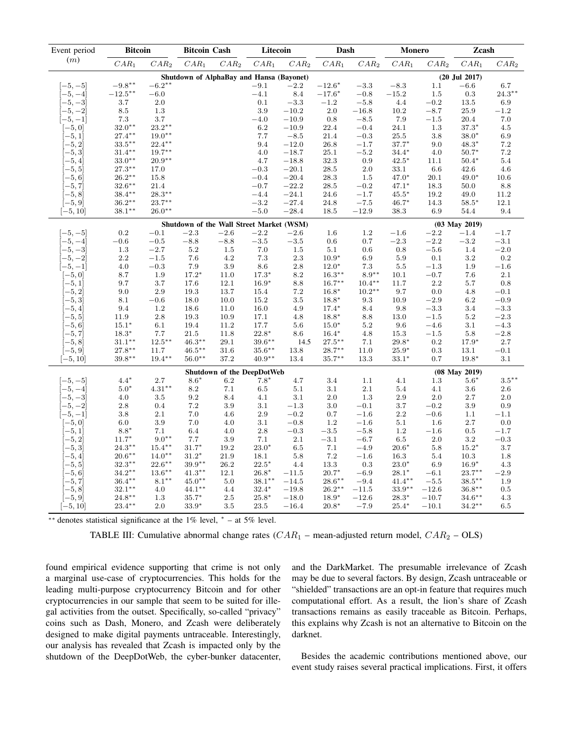| Event period | <b>Bitcoin</b>    |           | <b>Bitcoin Cash</b>                      |                            | Litecoin  |         | Dash      |           | <b>Monero</b> |         | Zcash             |           |
|--------------|-------------------|-----------|------------------------------------------|----------------------------|-----------|---------|-----------|-----------|---------------|---------|-------------------|-----------|
| (m)          | $CAR_1$           | $CAR_2$   | $CAR_1$                                  | $CAR_2$                    | $CAR_1$   | $CAR_2$ | $CAR_1$   | $CAR_2$   | $CAR_1$       | $CAR_2$ | $CAR_1$           | $CAR_2$   |
|              |                   |           | Shutdown of AlphaBay and Hansa (Bayonet) |                            |           |         |           |           |               |         | $(20$ Jul $2017)$ |           |
| $-5, -5$     | $-9.8***$         | $-6.2***$ |                                          |                            | $-9.1$    | $-2.2$  | $-12.6*$  | $-3.3$    | $-8.3$        | 1.1     | $-6.6$            | 6.7       |
| $-5, -4$     | $-12.5***$        | $-6.0$    |                                          |                            | $-4.1$    | 8.4     | $-17.6*$  | $-0.8$    | $-15.2$       | 1.5     | 0.3               | $24.3***$ |
| $-5, -3$     | $3.7\,$           | 2.0       |                                          |                            | 0.1       | $-3.3$  | $-1.2$    | $-5.8$    | $4.4\,$       | $-0.2$  | 13.5              | $6.9\,$   |
| $-5, -2$     | $8.5\,$           | 1.3       |                                          |                            | 3.9       | $-10.2$ | 2.0       | $-16.8$   | 10.2          | $-8.7$  | 25.9              | $-1.2$    |
| $-5, -1]$    | $7.3\,$           | 3.7       |                                          |                            | $-4.0$    | $-10.9$ | 0.8       | $-8.5$    | 7.9           | $-1.5$  | 20.4              | 7.0       |
| $[-5, 0]$    | $32.0**$          | $23.2**$  |                                          |                            | 6.2       | $-10.9$ | 22.4      | $-0.4$    | 24.1          | 1.3     | $37.3*$           | 4.5       |
| $[-5,1]$     | $27.4***$         | $19.0**$  |                                          |                            | 7.7       | $-8.5$  | 21.4      | $-0.3$    | 25.5          | 3.8     | $38.0*$           | 6.9       |
| $-5, 2$      | $33.5***$         | $22.4***$ |                                          |                            | 9.4       | $-12.0$ | 26.8      | $-1.7$    | $37.7*$       | 9.0     | $48.3*$           | 7.2       |
| $[-5, 3]$    | $31.4***$         | $19.7**$  |                                          |                            | 4.0       | $-18.7$ | 25.1      | $-5.2$    | $34.4*$       | 4.0     | $50.7*$           | 7.2       |
| $-5,4$       | $33.0**$          | $20.9**$  |                                          |                            | 4.7       | $-18.8$ | $32.3\,$  | $\rm 0.9$ | $42.5*$       | 11.1    | $50.4*$           | 5.4       |
| $-5, 5$      | $27.3***$         | 17.0      |                                          |                            | $-0.3$    | $-20.1$ | 28.5      | $2.0\,$   | 33.1          | 6.6     | 42.6              | 4.6       |
| $^{-5,6}$    | $26.2^{\ast\ast}$ | 15.8      |                                          |                            | $-0.4$    | $-20.4$ | 28.3      | $1.5\,$   | $47.0*$       | 20.1    | $49.0*$           | 10.6      |
| $-5, 7$      | $32.6***$         | 21.4      |                                          |                            | $-0.7$    | $-22.2$ | 28.5      | $\!-0.2$  | $47.1*$       | 18.3    | 50.0              | 8.8       |
| $-5, 8$      | $38.4***$         | $28.3***$ |                                          |                            | $-4.4$    | $-24.1$ | 24.6      | $-1.7$    | $45.5*$       | 19.2    | 49.0              | 11.2      |
| $[-5, 9]$    | $36.2^{\ast\ast}$ | $23.7***$ |                                          |                            | $-3.2$    | $-27.4$ | 24.8      | $-7.5$    | $46.7*$       | 14.3    | $58.5*$           | 12.1      |
| $[-5, 10]$   | $38.1**$          | $26.0**$  |                                          |                            | $-5.0$    | $-28.4$ | 18.5      | $-12.9$   | 38.3          | 6.9     | 54.4              | 9.4       |
|              |                   |           | Shutdown of the Wall Street Market (WSM) |                            |           |         |           |           |               |         | $(03$ May $2019)$ |           |
| $-5, -5$     | 0.2               | $-0.1$    | $-2.3$                                   | $-2.6\,$                   | $-2.2$    | $-2.6$  | 1.6       | $1.2\,$   | $-1.6$        | $-2.2$  | $-1.4$            | $-1.7$    |
| $-5, -4$     | $-0.6$            | $-0.5$    | $-8.8$                                   | $-8.8$                     | $-3.5$    | $-3.5$  | 0.6       | 0.7       | $-2.3$        | $-2.2$  | $-3.2$            | $-3.1$    |
| $-5, -3$     | 1.3               | $-2.7$    | 5.2                                      | 1.5                        | 7.0       | 1.5     | 5.1       | 0.6       | 0.8           | $-5.6$  | 1.4               | $-2.0$    |
| $-5, -2$     | 2.2               | $-1.5$    | 7.6                                      | 4.2                        | 7.3       | 2.3     | $10.9*$   | 6.9       | 5.9           | 0.1     | $3.2\,$           | 0.2       |
| $-5, -1$     | 4.0               | $-0.3$    | 7.9                                      | 3.9                        | 8.6       | 2.8     | $12.0*$   | 7.3       | 5.5           | $-1.3$  | 1.9               | $-1.6$    |
| $[-5, 0]$    | 8.7               | 1.9       | $17.2*$                                  | 11.0                       | $17.3*$   | 8.2     | $16.3***$ | $8.9**$   | 10.1          | $-0.7$  | 7.6               | $2.1\,$   |
| $-5,1$       | 9.7               | 3.7       | 17.6                                     | 12.1                       | $16.9*$   | 8.8     | $16.7***$ | $10.4***$ | 11.7          | 2.2     | 5.7               | 0.8       |
| $-5, 2$      | 9.0               | 2.9       | 19.3                                     | 13.7                       | 15.4      | 7.2     | $16.8*$   | $10.2***$ | 9.7           | 0.0     | 4.8               | $-0.1$    |
| $-5,3$       | 8.1               | $-0.6$    | 18.0                                     | 10.0                       | 15.2      | 3.5     | $18.8*$   | 9.3       | 10.9          | $-2.9$  | 6.2               | $-0.9$    |
| $-5,4$       | 9.4               | 1.2       | 18.6                                     | 11.0                       | 16.0      | 4.9     | $17.4*$   | 8.4       | 9.8           | $-3.3$  | 3.4               | $-3.3$    |
| $-5, 5$      | 11.9              | 2.8       | 19.3                                     | 10.9                       | 17.1      | 4.8     | $18.8*$   | 8.8       | 13.0          | $-1.5$  | $5.2\,$           | $-2.3$    |
| $-5,6$       | $15.1*$           | 6.1       | 19.4                                     | 11.2                       | 17.7      | 5.6     | $15.0*$   | 5.2       | 9.6           | $-4.6$  | 3.1               | $-4.3$    |
| $-5, 7$      | $18.3*$           | 7.7       | 21.5                                     | 11.8                       | $22.8*$   | 8.6     | $16.4*$   | 4.8       | 15.3          | $-1.5$  | 5.8               | $-2.8$    |
| $[-5, 8]$    | $31.1***$         | $12.5***$ | $46.3***$                                | 29.1                       | $39.6***$ | 14.5    | $27.5***$ | 7.1       | $29.8*$       | 0.2     | $17.9*$           | 2.7       |
| $[-5, 9]$    | $27.8^{\ast\ast}$ | 11.7      | $46.5***$                                | 31.6                       | $35.6***$ | 13.8    | $28.7***$ | 11.0      | $25.9*$       | 0.3     | 13.1              | $-0.1$    |
| $[-5, 10]$   | $39.8***$         | $19.4***$ | $56.0**$                                 | 37.2                       | $40.9**$  | 13.4    | $35.7***$ | 13.3      | $33.1*$       | 0.7     | $19.8*$           | 3.1       |
|              |                   |           |                                          | Shutdown of the DeepDotWeb |           |         |           |           |               |         | $(08$ May $2019)$ |           |
| $-5, -5$     | $4.4*$            | 2.7       | $8.6*$                                   | 6.2                        | $7.8*$    | 4.7     | 3.4       | 1.1       | 4.1           | 1.3     | $5.6*$            | $3.5***$  |
| $-5, -4$     | $5.0*$            | $4.31**$  | $8.2\,$                                  | 7.1                        | 6.5       | 5.1     | 3.1       | $2.1\,$   | 5.4           | 4.1     | 3.6               | $2.6\,$   |
| $-5, -3$     | 4.0               | 3.5       | $\,9.2$                                  | 8.4                        | 4.1       | 3.1     | 2.0       | 1.3       | 2.9           | 2.0     | 2.7               | $2.0\,$   |
| $-5, -2$     | $2.8\,$           | 0.4       | 7.2                                      | 3.9                        | 3.1       | $-1.3$  | 3.0       | $-0.1$    | 3.7           | $-0.2$  | 3.9               | 0.9       |
| $[-5, -1]$   | $3.8\,$           | 2.1       | 7.0                                      | 4.6                        | 2.9       | $-0.2$  | 0.7       | $-1.6$    | 2.2           | $-0.6$  | 1.1               | $-1.1$    |
| $[-5, 0]$    | 6.0               | 3.9       | 7.0                                      | 4.0                        | 3.1       | $-0.8$  | 1.2       | $-1.6$    | $5.1\,$       | 1.6     | 2.7               | 0.0       |
| $-5,1$       | $8.8*$            | 7.1       | 6.4                                      | 4.0                        | 2.8       | $-0.3$  | $-3.5$    | $-5.8$    | 1.2           | $-1.6$  | 0.5               | $-1.7$    |
| $-5, 2$      | $11.7*$           | $9.0**$   | 7.7                                      | 3.9                        | 7.1       | $2.1\,$ | $-3.1$    | $-6.7$    | 6.5           | 2.0     | $3.2\,$           | $-0.3$    |
| $-5, 3$      | $24.3***$         | $15.4***$ | $31.7*$                                  | 19.2                       | $23.0*$   | 6.5     | 7.1       | $-4.9$    | $20.6*$       | 5.8     | $15.2*$           | 3.7       |
| $-5,4$       | $20.6^{\ast\ast}$ | $14.0**$  | $31.2*$                                  | 21.9                       | 18.1      | 5.8     | 7.2       | $-1.6$    | 16.3          | 5.4     | 10.3              | 1.8       |
| $-5, 5$      | $32.3***$         | $22.6***$ | $39.9^{\ast\ast}$                        | 26.2                       | $22.5*$   | 4.4     | 13.3      | $0.3\,$   | $23.0*$       | 6.9     | $16.9*$           | 4.3       |
| $-5,6$       | $34.2***$         | $13.6***$ | $41.3***$                                | 12.1                       | $26.8*$   | $-11.5$ | $20.7*$   | $-6.9$    | $28.1*$       | $-6.1$  | $23.7***$         | $-2.9$    |
| $-5, 7$      | $36.4***$         | $8.1***$  | $45.0**$                                 | 5.0                        | $38.1**$  | $-14.5$ | $28.6***$ | $-9.4$    | $41.4***$     | $-5.5$  | $38.5***$         | 1.9       |
| $-5, 8$      | $32.1***$         | 4.0       | $44.1***$                                | 4.4                        | $32.4*$   | $-19.8$ | $26.2**$  | $-11.5$   | $33.9**$      | $-12.6$ | $36.8**$          | 0.5       |
| $[-5, 9]$    | $24.8***$         | 1.3       | $35.7*$                                  | $2.5\,$                    | $25.8*$   | $-18.0$ | 18.9*     | $-12.6$   | $28.3*$       | $-10.7$ | $34.6***$         | 4.3       |
| $[-5, 10]$   | $23.4***$         | 2.0       | $33.9*$                                  | 3.5                        | 23.5      | $-16.4$ | $20.8*$   | $-7.9$    | $25.4*$       | $-10.1$ | $34.2**$          | 6.5       |

∗∗ denotes statistical significance at the 1% level, <sup>∗</sup> – at 5% level.

TABLE III: Cumulative abnormal change rates  $(CAR_1$  – mean-adjusted return model,  $CAR_2$  – OLS)

found empirical evidence supporting that crime is not only a marginal use-case of cryptocurrencies. This holds for the leading multi-purpose cryptocurrency Bitcoin and for other cryptocurrencies in our sample that seem to be suited for illegal activities from the outset. Specifically, so-called "privacy" coins such as Dash, Monero, and Zcash were deliberately designed to make digital payments untraceable. Interestingly, our analysis has revealed that Zcash is impacted only by the shutdown of the DeepDotWeb, the cyber-bunker datacenter, and the DarkMarket. The presumable irrelevance of Zcash may be due to several factors. By design, Zcash untraceable or "shielded" transactions are an opt-in feature that requires much computational effort. As a result, the lion's share of Zcash transactions remains as easily traceable as Bitcoin. Perhaps, this explains why Zcash is not an alternative to Bitcoin on the darknet.

Besides the academic contributions mentioned above, our event study raises several practical implications. First, it offers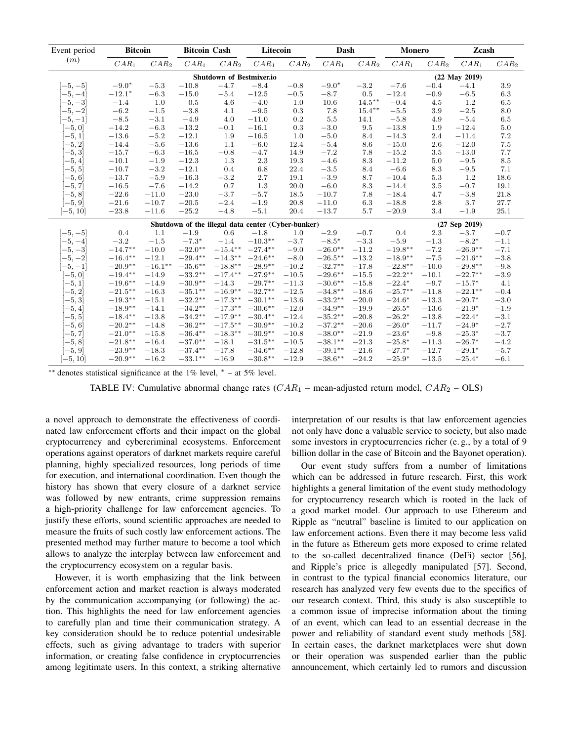| Event period | <b>Bitcoin</b> |            | <b>Bitcoin Cash</b>                                |                          | Litecoin   |                  | Dash       |           | <b>Monero</b> |         | Zcash             |         |
|--------------|----------------|------------|----------------------------------------------------|--------------------------|------------|------------------|------------|-----------|---------------|---------|-------------------|---------|
| (m)          | $CAR_1$        | $CAR_2$    | $CAR_1$                                            | $CAR_2$                  | $CAR_1$    | CAR <sub>2</sub> | $CAR_1$    | $CAR_2$   | $CAR_1$       | $CAR_2$ | $CAR_1$           | $CAR_2$ |
|              |                |            |                                                    | Shutdown of Bestmixer.io |            |                  |            |           |               |         | $(22$ May $2019)$ |         |
| $[-5, -5]$   | $-9.0*$        | $-5.3$     | $-10.8$                                            | $-4.7$                   | $-8.4$     | $-0.8$           | $-9.0*$    | $-3.2$    | $-7.6$        | $-0.4$  | $-4.1$            | 3.9     |
| $-5, -4$     | $-12.1*$       | $-6.3$     | $-15.0$                                            | $-5.4$                   | $-12.5$    | $-0.5$           | $-8.7$     | 0.5       | $-12.4$       | $-0.9$  | $-6.5$            | 6.3     |
| $-5, -3$     | $-1.4$         | 1.0        | 0.5                                                | 4.6                      | $-4.0$     | 1.0              | 10.6       | $14.5***$ | $-0.4$        | 4.5     | 1.2               | 6.5     |
| $-5, -2$     | $-6.2$         | $-1.5$     | $-3.8$                                             | 4.1                      | $-9.5$     | 0.3              | 7.8        | $15.4***$ | $-5.5$        | 3.9     | $-2.5$            | 8.0     |
| $[-5,-1]$    | $-8.5$         | $-3.1$     | $-4.9$                                             | 4.0                      | $-11.0$    | 0.2              | $5.5\,$    | 14.1      | $-5.8$        | 4.9     | $-5.4$            | 6.5     |
| $[-5, 0]$    | $-14.2$        | $-6.3$     | $-13.2$                                            | $-0.1$                   | $-16.1$    | 0.3              | $-3.0\,$   | 9.5       | $-13.8$       | 1.9     | $-12.4$           | $5.0\,$ |
| $[-5, 1]$    | $-13.6$        | $-5.2$     | $-12.1$                                            | 1.9                      | $-16.5$    | 1.0              | $-5.0$     | 8.4       | $-14.3$       | 2.4     | $-11.4$           | $7.2\,$ |
| $[-5, 2]$    | $-14.4$        | $-5.6$     | $-13.6$                                            | 1.1                      | $-6.0$     | 12.4             | $-5.4$     | 8.6       | $-15.0$       | 2.6     | $-12.0$           | $7.5\,$ |
| $[-5, 3]$    | $-15.7$        | $-6.3$     | $-16.5$                                            | $-0.8$                   | $-4.7$     | 14.9             | $-7.2$     | 7.8       | $-15.2$       | $3.5\,$ | $-13.0$           | 7.7     |
| $-5,4$       | $-10.1$        | $-1.9$     | $-12.3$                                            | 1.3                      | $2.3\,$    | 19.3             | $-4.6$     | 8.3       | $-11.2$       | 5.0     | $-9.5$            | 8.5     |
| $[-5, 5]$    | $-10.7$        | $-3.2$     | $-12.1$                                            | 0.4                      | 6.8        | 22.4             | $\!-3.5$   | 8.4       | $-6.6$        | 8.3     | $-9.5$            | 7.1     |
| $[-5, 6]$    | $-13.7$        | $-5.9$     | $-16.3$                                            | $-3.2$                   | 2.7        | 19.1             | $-3.9$     | 8.7       | $-10.4$       | $5.3\,$ | 1.2               | 18.6    |
| $[-5, 7]$    | $-16.5$        | $-7.6$     | $-14.2$                                            | 0.7                      | 1.3        | 20.0             | $-6.0$     | 8.3       | $-14.4$       | 3.5     | $-0.7$            | 19.1    |
| $[-5, 8]$    | $-22.6$        | $-11.0$    | $-23.0$                                            | $-3.7$                   | $-5.7$     | 18.5             | $-10.7$    | 7.8       | $-18.4$       | 4.7     | $-3.8$            | 21.8    |
| $[-5, 9]$    | $-21.6$        | $-10.7$    | $-20.5$                                            | $-2.4$                   | $-1.9$     | 20.8             | $-11.0$    | 6.3       | $-18.8$       | 2.8     | 3.7               | 27.7    |
| $[-5, 10]$   | $-23.8$        | $-11.6$    | $-25.2$                                            | $-4.8$                   | $-5.1$     | 20.4             | $-13.7$    | 5.7       | $-20.9$       | 3.4     | $-1.9$            | 25.1    |
|              |                |            | Shutdown of the illegal data center (Cyber-bunker) |                          |            |                  |            |           |               |         | $(27$ Sep $2019)$ |         |
| $[-5, -5]$   | 0.4            | 1.1        | $-1.9$                                             | 0.6                      | $-1.8$     | 1.0              | $-2.9$     | $-0.7$    | 0.4           | 2.3     | $-3.7$            | $-0.7$  |
| $-5, -4$     | $-3.2$         | $-1.5$     | $-7.3*$                                            | $-1.4$                   | $-10.3**$  | $-3.7$           | $-8.5*$    | $-3.3$    | $-5.9$        | $-1.3$  | $-8.2*$           | $-1.1$  |
| $-5, -3$     | $-14.7***$     | $-10.0$    | $-32.0**$                                          | $-15.4***$               | $-27.4***$ | $-9.0$           | $-26.0**$  | $-11.2$   | $-19.8***$    | $-7.2$  | $-26.9**$         | $-7.1$  |
| $-5, -2$     | $-16.4***$     | $-12.1$    | $-29.4***$                                         | $-14.3***$               | $-24.6***$ | $-8.0$           | $-26.5***$ | $-13.2$   | $-18.9**$     | $-7.5$  | $-21.6***$        | $-3.8$  |
| $[-5, -1]$   | $-20.9**$      | $-16.1***$ | $-35.6***$                                         | $-18.8**$                | $-28.9**$  | $-10.2$          | $-32.7***$ | $-17.8$   | $-22.8***$    | $-10.0$ | $-29.8**$         | $-9.8$  |
| $[-5, 0]$    | $-19.4***$     | $-14.9$    | $-33.2**$                                          | $-17.4***$               | $-27.9**$  | $-10.5$          | $-29.6***$ | $-15.5$   | $-22.2***$    | $-10.1$ | $-22.7***$        | $-3.9$  |
| $[-5, 1]$    | $-19.6***$     | $-14.9$    | $-30.9**$                                          | $-14.3$                  | $-29.7***$ | $-11.3$          | $-30.6**$  | $-15.8$   | $-22.4*$      | $-9.7$  | $-15.7*$          | 4.1     |
| $[-5, 2]$    | $-21.5***$     | $-16.3$    | $-35.1***$                                         | $-16.9**$                | $-32.7***$ | $-12.5$          | $-34.8**$  | $-18.6$   | $-25.7***$    | $-11.8$ | $-22.1***$        | $-0.4$  |
| $[-5, 3]$    | $-19.3**$      | $-15.1$    | $-32.2**$                                          | $-17.3**$                | $-30.1**$  | $-13.6$          | $-33.2**$  | $-20.0$   | $-24.6*$      | $-13.3$ | $-20.7*$          | $-3.0$  |
| $-5,4$       | $-18.9**$      | $-14.1$    | $-34.2**$                                          | $-17.3**$                | $-30.6**$  | $-12.0$          | $-34.9**$  | $-19.9$   | $-26.5*$      | $-13.6$ | $-21.9*$          | $-1.9$  |
| $[-5, 5]$    | $-18.4**$      | $-13.8$    | $-34.2**$                                          | $-17.9**$                | $-30.4**$  | $-12.4$          | $-35.2**$  | $-20.8$   | $-26.2*$      | $-13.8$ | $-22.4*$          | $-3.1$  |
| $[-5, 6]$    | $-20.2**$      | $-14.8$    | $-36.2**$                                          | $-17.5***$               | $-30.9**$  | $-10.2$          | $-37.2**$  | $-20.6$   | $-26.0*$      | $-11.7$ | $-24.9*$          | $-2.7$  |
| $[-5, 7]$    | $-21.0**$      | $-15.8$    | $-36.4**$                                          | $-18.3**$                | $-30.9**$  | $-10.8$          | $-38.0**$  | $-21.9$   | $-23.6*$      | $-9.8$  | $-25.3*$          | $-3.7$  |
| $[-5, 8]$    | $-21.8***$     | $-16.4$    | $-37.0**$                                          | $-18.1$                  | $-31.5***$ | $-10.5$          | $-38.1**$  | $-21.3$   | $-25.8*$      | $-11.3$ | $-26.7*$          | $-4.2$  |
| $[-5, 9]$    | $-23.9***$     | $-18.3$    | $-37.4***$                                         | $-17.8$                  | $-34.6***$ | $-12.8$          | $-39.1***$ | $-21.6$   | $-27.7*$      | $-12.7$ | $-29.1*$          | $-5.7$  |
| $[-5, 10]$   | $-20.9**$      | $-16.2$    | $-33.1***$                                         | $-16.9$                  | $-30.8**$  | $-12.9$          | $-38.6***$ | $-24.2$   | $-25.9*$      | $-13.5$ | $-25.4*$          | $-6.1$  |

∗∗ denotes statistical significance at the 1% level, <sup>∗</sup> – at 5% level.

TABLE IV: Cumulative abnormal change rates  $(CAR_1$  – mean-adjusted return model,  $CAR_2$  – OLS)

a novel approach to demonstrate the effectiveness of coordinated law enforcement efforts and their impact on the global cryptocurrency and cybercriminal ecosystems. Enforcement operations against operators of darknet markets require careful planning, highly specialized resources, long periods of time for execution, and international coordination. Even though the history has shown that every closure of a darknet service was followed by new entrants, crime suppression remains a high-priority challenge for law enforcement agencies. To justify these efforts, sound scientific approaches are needed to measure the fruits of such costly law enforcement actions. The presented method may further mature to become a tool which allows to analyze the interplay between law enforcement and the cryptocurrency ecosystem on a regular basis.

However, it is worth emphasizing that the link between enforcement action and market reaction is always moderated by the communication accompanying (or following) the action. This highlights the need for law enforcement agencies to carefully plan and time their communication strategy. A key consideration should be to reduce potential undesirable effects, such as giving advantage to traders with superior information, or creating false confidence in cryptocurrencies among legitimate users. In this context, a striking alternative interpretation of our results is that law enforcement agencies not only have done a valuable service to society, but also made some investors in cryptocurrencies richer (e. g., by a total of 9 billion dollar in the case of Bitcoin and the Bayonet operation).

Our event study suffers from a number of limitations which can be addressed in future research. First, this work highlights a general limitation of the event study methodology for cryptocurrency research which is rooted in the lack of a good market model. Our approach to use Ethereum and Ripple as "neutral" baseline is limited to our application on law enforcement actions. Even there it may become less valid in the future as Ethereum gets more exposed to crime related to the so-called decentralized finance (DeFi) sector [56], and Ripple's price is allegedly manipulated [57]. Second, in contrast to the typical financial economics literature, our research has analyzed very few events due to the specifics of our research context. Third, this study is also susceptible to a common issue of imprecise information about the timing of an event, which can lead to an essential decrease in the power and reliability of standard event study methods [58]. In certain cases, the darknet marketplaces were shut down or their operation was suspended earlier than the public announcement, which certainly led to rumors and discussion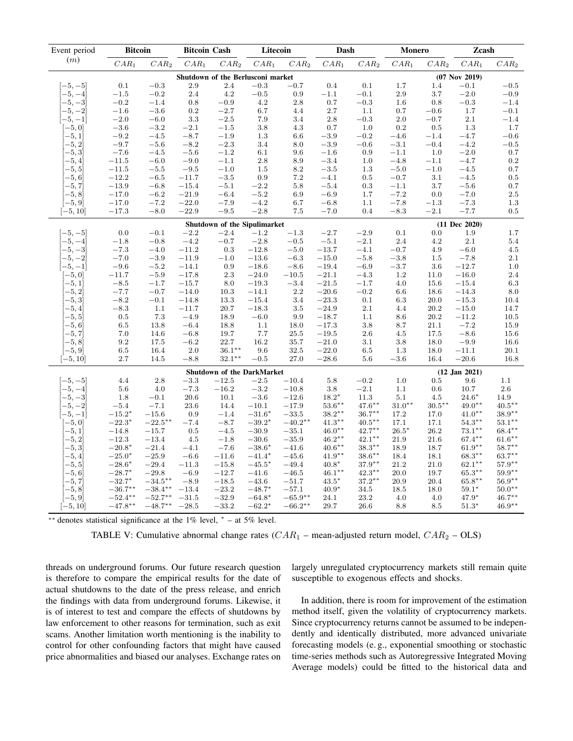| Event period | <b>Bitcoin</b> |            | <b>Bitcoin Cash</b> |                                   | Litecoin |           | Dash      |                   | <b>Monero</b> |           | Zcash             |                   |
|--------------|----------------|------------|---------------------|-----------------------------------|----------|-----------|-----------|-------------------|---------------|-----------|-------------------|-------------------|
| (m)          | $CAR_1$        | $CAR_2$    | $CAR_1$             | $\mathcal{CAR}_2$                 | $CAR_1$  | $CAR_2$   | $CAR_1$   | $CAR_2$           | $CAR_1$       | $CAR_2$   | $CAR_1$           | $\mathit{CAR}_2$  |
|              |                |            |                     | Shutdown of the Berlusconi market |          |           |           |                   |               |           | $(07$ Nov 2019)   |                   |
| $[-5, -5]$   | 0.1            | $-0.3$     | 2.9                 | 2.4                               | $-0.3$   | $-0.7$    | 0.4       | $0.1\,$           | 1.7           | 1.4       | $-0.1$            | $-0.5$            |
| $-5, -4$     | $-1.5$         | $-0.2$     | 2.4                 | 4.2                               | $-0.5$   | 0.9       | $-1.1$    | $-0.1$            | 2.9           | 3.7       | $-2.0$            | $-0.9$            |
| $-5, -3$     | $-0.2$         | $-1.4$     | 0.8                 | $-0.9$                            | 4.2      | 2.8       | 0.7       | $-0.3$            | 1.6           | 0.8       | $-0.3$            | $-1.4$            |
| $-5, -2$     | $-1.6$         | $-3.6$     | 0.2                 | $-2.7$                            | 6.7      | 4.4       | 2.7       | 1.1               | 0.7           | $-0.6$    | 1.7               | $-0.1$            |
| $-5, -1$     | $-2.0$         | $-6.0$     | 3.3                 | $-2.5$                            | 7.9      | 3.4       | 2.8       | $-0.3$            | $2.0\,$       | $-0.7$    | 2.1               | $-1.4$            |
| $[-5, 0]$    | $-3.6$         | $-3.2$     | $-2.1$              | $-1.5$                            | 3.8      | 4.3       | 0.7       | 1.0               | 0.2           | 0.5       | 1.3               | 1.7               |
| $-5,1$       | $-9.2$         | $-4.5$     | $-8.7$              | $-1.9$                            | 1.3      | 6.6       | $-3.9$    | $-0.2$            | $-4.6$        | $-1.4$    | $-4.7$            | $-0.6$            |
| $-5, 2$      | $-9.7$         | $-5.6$     | $-8.2$              | $-2.3$                            | 3.4      | $8.0\,$   | $-3.9$    | $-0.6$            | $-3.1$        | $-0.4$    | $-4.2$            | $-0.5$            |
| $-5,3$       | $-7.6$         | $-4.5$     | $-5.6$              | $-1.2$                            | 6.1      | 9.6       | $-1.6$    | 0.9               | $-1.1$        | 1.0       | $-2.0$            | 0.7               |
| $-5,4$       | $-11.5$        | $-6.0$     | $-9.0$              | $-1.1$                            | 2.8      | 8.9       | $-3.4$    | 1.0               | $-4.8$        | $-1.1$    | $-4.7$            | $\rm 0.2$         |
| $-5,5$       | $-11.5$        | $-5.5$     | $-9.5$              | $-1.0$                            | 1.5      | 8.2       | $-3.5$    | 1.3               | $-5.0$        | $-1.0$    | $-4.5$            | 0.7               |
| $^{-5,6}$    | $-12.2$        | $-6.5$     | $-11.7$             | $-3.5$                            | 0.9      | 7.2       | $-4.1$    | 0.5               | $-0.7$        | 3.1       | $-4.5$            | 0.5               |
| $[-5, 7]$    | $-13.9$        | $-6.8$     | $-15.4$             | $-5.1$                            | $-2.2$   | 5.8       | $-5.4$    | 0.3               | $-1.1$        | 3.7       | $-5.6$            | $0.7\,$           |
| $-5, 8$      | $-17.0$        | $-6.2$     | $-21.9$             | $-6.4$                            | $-5.2$   | 6.9       | $-6.9$    | 1.7               | $-7.2$        | 0.0       | $-7.0$            | $2.5\,$           |
| $[-5, 9]$    | $-17.0$        | $-7.2$     | $-22.0$             | $-7.9$                            | $-4.2$   | 6.7       | $-6.8$    | 1.1               | $-7.8$        | $-1.3$    | $-7.3$            | 1.3               |
| $[-5, 10]$   | $-17.3$        | $-8.0$     | $-22.9$             | $-9.5$                            | $-2.8$   | 7.5       | $-7.0$    | 0.4               | $-8.3$        | $-2.1$    | $-7.7$            | $0.5\,$           |
|              |                |            |                     | Shutdown of the Sipulimarket      |          |           |           |                   |               |           | $(11$ Dec $2020)$ |                   |
| $-5, -5$     | 0.0            | $-0.1$     | $-2.2$              | $-2.4$                            | $-1.2$   | $-1.3$    | $-2.7$    | $-2.9$            | 0.1           | 0.0       | 1.9               | 1.7               |
| $-5, -4$     | $-1.8$         | $-0.8$     | $-4.2$              | $-0.7$                            | $-2.8$   | $-0.5$    | $-5.1$    | $-2.1$            | 2.4           | 4.2       | 2.1               | 5.4               |
| $-5, -3$     | $-7.3$         | $-4.0$     | $-11.2$             | 0.3                               | $-12.8$  | $-5.0$    | $-13.7$   | $-4.1$            | $-0.7$        | 4.9       | $-6.0$            | 4.5               |
| $-5, -2$     | $-7.0$         | $-3.9$     | $-11.9$             | $-1.0$                            | $-13.6$  | $-6.3$    | $-15.0$   | $-5.8$            | $-3.8$        | 1.5       | $-7.8$            | 2.1               |
| $-5, -1$     | $-9.6$         | $-5.2$     | $-14.1$             | 0.9                               | $-18.6$  | $-8.6$    | $-19.4$   | $-6.9$            | $-3.7$        | 3.6       | $-12.7$           | $1.0\,$           |
| $[-5, 0]$    | $-11.7$        | $-5.9$     | $-17.8$             | 2.3                               | $-24.0$  | $-10.5$   | $-21.1$   | $-4.3$            | $1.2\,$       | 11.0      | $-16.0$           | $2.4\,$           |
| $-5,1$       | $-8.5$         | $-1.7$     | $-15.7$             | 8.0                               | $-19.3$  | $-3.4$    | $-21.5$   | $-1.7$            | 4.0           | 15.6      | $-15.4$           | 6.3               |
| $-5, 2$      | $-7.7$         | $-0.7$     | $-14.0$             | 10.3                              | $-14.1$  | 2.2       | $-20.6$   | $-0.2$            | 6.6           | 18.6      | $-14.3$           | 8.0               |
| $-5,3$       | $-8.2$         | $-0.1$     | $-14.8$             | 13.3                              | $-15.4$  | 3.4       | $-23.3$   | 0.1               | 6.3           | 20.0      | $-15.3$           | 10.4              |
| $-5,4$       | $-8.3$         | 1.1        | $-11.7$             | 20.7                              | $-18.3$  | $3.5\,$   | $-24.9$   | $2.1\,$           | 4.4           | 20.2      | $-15.0$           | 14.7              |
| $-5, 5$      | 0.5            | 7.3        | $-4.9$              | 18.9                              | $-6.0$   | 9.9       | $-18.7$   | 1.1               | 8.6           | 20.2      | $-11.2$           | 10.5              |
| $-5, 6$      | 6.5            | 13.8       | $-6.4$              | 18.8                              | 1.1      | 18.0      | $-17.3$   | 3.8               | 8.7           | 21.1      | $-7.2$            | 15.9              |
| $-5, 7$      | 7.0            | 14.6       | $-6.8$              | 19.7                              | 7.7      | $25.5\,$  | $-19.5$   | 2.6               | 4.5           | 17.5      | $-8.6$            | 15.6              |
| $-5, 8$      | 9.2            | 17.5       | $-6.2$              | 22.7                              | 16.2     | 35.7      | $-21.0$   | 3.1               | 3.8           | 18.0      | $-9.9$            | 16.6              |
| $[-5, 9]$    | 6.5            | 16.4       | $2.0\,$             | $36.1***$                         | 9.6      | 32.5      | $-22.0$   | $6.5\,$           | 1.3           | 18.0      | $-11.1$           | 20.1              |
| $[-5, 10]$   | 2.7            | 14.5       | $-8.8$              | $32.1***$                         | $-0.5$   | 27.0      | $-28.6$   | 5.6               | $-3.6$        | 16.4      | $-20.6$           | 16.8              |
|              |                |            |                     | Shutdown of the DarkMarket        |          |           |           |                   |               |           | $(12$ Jan $2021)$ |                   |
| $-5, -5$     | 4.4            | $2.8\,$    | $-3.3$              | $-12.5$                           | $-2.5$   | $-10.4$   | 5.8       | $\!-0.2$          | $1.0\,$       | 0.5       | 9.6               | 1.1               |
| $-5, -4$     | 5.6            | 4.0        | $-7.3$              | $-16.2$                           | $-3.2$   | $-10.8$   | 3.8       | $-2.1\,$          | 1.1           | 0.6       | 10.7              | $2.6\,$           |
| $-5, -3$     | 1.8            | $-0.1$     | 20.6                | 10.1                              | $-3.6$   | $-12.6$   | $18.2*$   | 11.3              | 5.1           | 4.5       | $24.6*$           | 14.9              |
| $-5, -2$     | $-5.4$         | $-7.1$     | 23.6                | 14.4                              | $-10.1$  | $-17.9$   | $53.6***$ | $47.6***$         | $31.0**$      | $30.5***$ | $49.0**$          | $40.5***$         |
| $-5, -1$     | $-15.2*$       | $-15.6$    | 0.9                 | $-1.4$                            | $-31.6*$ | $-33.5$   | $38.2**$  | $36.7**$          | 17.2          | 17.0      | $41.0**$          | 38.9**            |
| $[-5, 0]$    | $-22.3*$       | $-22.5***$ | $-7.4$              | $-8.7$                            | $-39.2*$ | $-40.2**$ | $41.3**$  | $40.5***$         | 17.1          | 17.1      | $54.3***$         | $53.1***$         |
| $-5,1$       | $-14.8$        | $-15.7$    | 0.5                 | $-4.5$                            | $-30.9$  | $-35.1$   | $46.0**$  | $42.7***$         | $26.5*$       | 26.2      | $73.1^{\ast\ast}$ | $68.4***$         |
| $-5, 2$      | $-12.3$        | $-13.4$    | 4.5                 | $-1.8$                            | $-30.6$  | $-35.9$   | $46.2***$ | $42.1***$         | 21.9          | 21.6      | $67.4***$         | $61.6^{\ast\ast}$ |
| $-5,3$       | $-20.8*$       | $-21.4$    | $-4.1$              | $-7.6$                            | $-38.6*$ | $-41.6$   | $40.6***$ | $38.3^{\ast\ast}$ | 18.9          | 18.7      | $61.9**$          | $58.7***$         |
| $-5,4$       | $-25.0*$       | $-25.9$    | $-6.6$              | $-11.6$                           | $-41.4*$ | $-45.6$   | $41.9**$  | $38.6***$         | 18.4          | 18.1      | $68.3**$          | $63.7***$         |
| $-5, 5$      | $-28.6*$       | $-29.4$    | $-11.3$             | $-15.8$                           | $-45.5*$ | $-49.4$   | $40.8*$   | $37.9***$         | 21.2          | 21.0      | $62.1***$         | $57.9^{\ast\ast}$ |
| $-5,6$       | $-28.7*$       | $-29.8$    | $-6.9$              | $-12.7$                           | $-41.6$  | $-46.5$   | $46.1***$ | $42.3***$         | 20.0          | 19.7      | $65.3***$         | $59.9**$          |
| $-5, 7$      | $-32.7*$       | $-34.5***$ | $-8.9$              | $-18.5$                           | $-43.6$  | $-51.7$   | $43.5*$   | $37.2**$          | 20.9          | 20.4      | $65.8^{\ast\ast}$ | $56.9**$          |
| $-5, 8$      | $-36.7**$      | $-38.4**$  | $-13.4$             | $-23.2$                           | $-48.7*$ | $-57.1$   | $40.9*$   | 34.5              | 18.5          | 18.0      | $59.1*$           | $50.0**$          |
| $[-5, 9]$    | $-52.4***$     | $-52.7**$  | $-31.5$             | $-32.9$                           | $-64.8*$ | $-65.9**$ | 24.1      | 23.2              | 4.0           | 4.0       | 47.9*             | $46.7**$          |
| $[-5, 10]$   | $-47.8**$      | $-48.7**$  | $-28.5$             | $-33.2$                           | $-62.2*$ | $-66.2**$ | 29.7      | 26.6              | 8.8           | 8.5       | $51.3*$           | $46.9**$          |

∗∗ denotes statistical significance at the 1% level, <sup>∗</sup> – at 5% level.

TABLE V: Cumulative abnormal change rates  $(CAR_1$  – mean-adjusted return model,  $CAR_2$  – OLS)

threads on underground forums. Our future research question is therefore to compare the empirical results for the date of actual shutdowns to the date of the press release, and enrich the findings with data from underground forums. Likewise, it is of interest to test and compare the effects of shutdowns by law enforcement to other reasons for termination, such as exit scams. Another limitation worth mentioning is the inability to control for other confounding factors that might have caused price abnormalities and biased our analyses. Exchange rates on

largely unregulated cryptocurrency markets still remain quite susceptible to exogenous effects and shocks.

In addition, there is room for improvement of the estimation method itself, given the volatility of cryptocurrency markets. Since cryptocurrency returns cannot be assumed to be independently and identically distributed, more advanced univariate forecasting models (e. g., exponential smoothing or stochastic time-series methods such as Autoregressive Integrated Moving Average models) could be fitted to the historical data and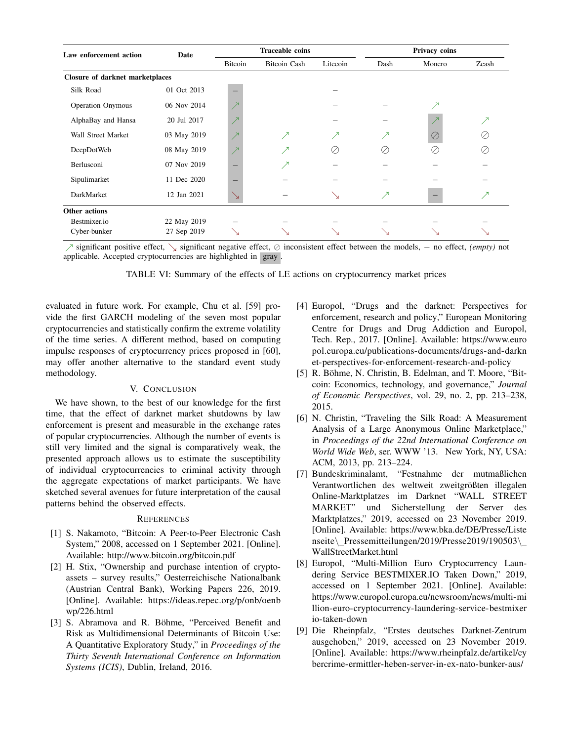| Law enforcement action          | Date        |              | <b>Traceable coins</b> |           | Privacy coins |        |       |  |
|---------------------------------|-------------|--------------|------------------------|-----------|---------------|--------|-------|--|
|                                 |             | Bitcoin      | <b>Bitcoin Cash</b>    | Litecoin  | Dash          | Monero | Zcash |  |
| Closure of darknet marketplaces |             |              |                        |           |               |        |       |  |
| Silk Road                       | 01 Oct 2013 |              |                        |           |               |        |       |  |
| <b>Operation Onymous</b>        | 06 Nov 2014 |              |                        |           |               |        |       |  |
| AlphaBay and Hansa              | 20 Jul 2017 |              |                        |           |               |        | ↗     |  |
| Wall Street Market              | 03 May 2019 | $\mathbf{z}$ | ↗                      | $\lambda$ | ↗             | ⊘      |       |  |
| DeepDotWeb                      | 08 May 2019 |              | ↗                      | O,        | Ø             |        | Ø.    |  |
| Berlusconi                      | 07 Nov 2019 |              | ↗                      |           |               |        |       |  |
| Sipulimarket                    | 11 Dec 2020 |              |                        |           |               |        |       |  |
| DarkMarket                      | 12 Jan 2021 |              |                        |           | ↗             |        | ↗     |  |
| Other actions                   |             |              |                        |           |               |        |       |  |
| Bestmixer.io                    | 22 May 2019 |              |                        |           |               |        |       |  |
| Cyber-bunker                    | 27 Sep 2019 |              |                        |           |               |        |       |  |

ր significant positive effect, ց significant negative effect, ⊘ inconsistent effect between the models, − no effect, *(empty)* not applicable. Accepted cryptocurrencies are highlighted in  $\sqrt{gx}$ .

TABLE VI: Summary of the effects of LE actions on cryptocurrency market prices

evaluated in future work. For example, Chu et al. [59] provide the first GARCH modeling of the seven most popular cryptocurrencies and statistically confirm the extreme volatility of the time series. A different method, based on computing impulse responses of cryptocurrency prices proposed in [60], may offer another alternative to the standard event study methodology.

## V. CONCLUSION

We have shown, to the best of our knowledge for the first time, that the effect of darknet market shutdowns by law enforcement is present and measurable in the exchange rates of popular cryptocurrencies. Although the number of events is still very limited and the signal is comparatively weak, the presented approach allows us to estimate the susceptibility of individual cryptocurrencies to criminal activity through the aggregate expectations of market participants. We have sketched several avenues for future interpretation of the causal patterns behind the observed effects.

## **REFERENCES**

- [1] S. Nakamoto, "Bitcoin: A Peer-to-Peer Electronic Cash System," 2008, accessed on 1 September 2021. [Online]. Available: http://www.bitcoin.org/bitcoin.pdf
- [2] H. Stix, "Ownership and purchase intention of cryptoassets – survey results," Oesterreichische Nationalbank (Austrian Central Bank), Working Papers 226, 2019. [Online]. Available: https://ideas.repec.org/p/onb/oenb wp/226.html
- [3] S. Abramova and R. Böhme, "Perceived Benefit and Risk as Multidimensional Determinants of Bitcoin Use: A Quantitative Exploratory Study," in *Proceedings of the Thirty Seventh International Conference on Information Systems (ICIS)*, Dublin, Ireland, 2016.
- [4] Europol, "Drugs and the darknet: Perspectives for enforcement, research and policy," European Monitoring Centre for Drugs and Drug Addiction and Europol, Tech. Rep., 2017. [Online]. Available: https://www.euro pol.europa.eu/publications-documents/drugs-and-darkn et-perspectives-for-enforcement-research-and-policy
- [5] R. Böhme, N. Christin, B. Edelman, and T. Moore, "Bitcoin: Economics, technology, and governance," *Journal of Economic Perspectives*, vol. 29, no. 2, pp. 213–238, 2015.
- [6] N. Christin, "Traveling the Silk Road: A Measurement Analysis of a Large Anonymous Online Marketplace," in *Proceedings of the 22nd International Conference on World Wide Web*, ser. WWW '13. New York, NY, USA: ACM, 2013, pp. 213–224.
- [7] Bundeskriminalamt, "Festnahme der mutmaßlichen Verantwortlichen des weltweit zweitgrößten illegalen Online-Marktplatzes im Darknet "WALL STREET MARKET" und Sicherstellung der Server des Marktplatzes," 2019, accessed on 23 November 2019. [Online]. Available: https://www.bka.de/DE/Presse/Liste nseite\ Pressemitteilungen/2019/Presse2019/190503\ WallStreetMarket.html
- [8] Europol, "Multi-Million Euro Cryptocurrency Laundering Service BESTMIXER.IO Taken Down," 2019, accessed on 1 September 2021. [Online]. Available: https://www.europol.europa.eu/newsroom/news/multi-mi llion-euro-cryptocurrency-laundering-service-bestmixer io-taken-down
- [9] Die Rheinpfalz, "Erstes deutsches Darknet-Zentrum ausgehoben," 2019, accessed on 23 November 2019. [Online]. Available: https://www.rheinpfalz.de/artikel/cy bercrime-ermittler-heben-server-in-ex-nato-bunker-aus/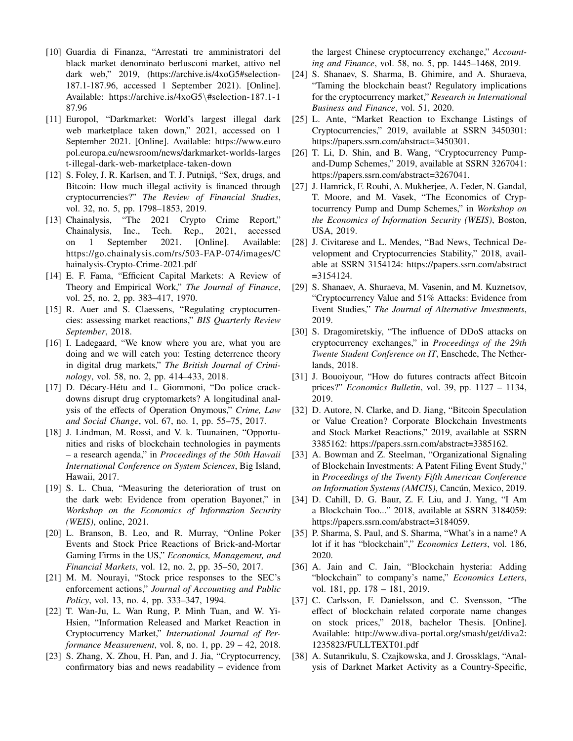- [10] Guardia di Finanza, "Arrestati tre amministratori del black market denominato berlusconi market, attivo nel dark web," 2019, (https://archive.is/4xoG5#selection-187.1-187.96, accessed 1 September 2021). [Online]. Available: https://archive.is/4xoG5\#selection-187.1-1 87.96
- [11] Europol, "Darkmarket: World's largest illegal dark web marketplace taken down," 2021, accessed on 1 September 2021. [Online]. Available: https://www.euro pol.europa.eu/newsroom/news/darkmarket-worlds-larges t-illegal-dark-web-marketplace-taken-down
- [12] S. Foley, J. R. Karlsen, and T. J. Putninš, "Sex, drugs, and Bitcoin: How much illegal activity is financed through cryptocurrencies?" *The Review of Financial Studies*, vol. 32, no. 5, pp. 1798–1853, 2019.
- [13] Chainalysis, "The 2021 Crypto Crime Report," Chainalysis, Inc., Tech. Rep., 2021, accessed on 1 September 2021. [Online]. Available: https://go.chainalysis.com/rs/503-FAP-074/images/C hainalysis-Crypto-Crime-2021.pdf
- [14] E. F. Fama, "Efficient Capital Markets: A Review of Theory and Empirical Work," *The Journal of Finance*, vol. 25, no. 2, pp. 383–417, 1970.
- [15] R. Auer and S. Claessens, "Regulating cryptocurrencies: assessing market reactions," *BIS Quarterly Review September*, 2018.
- [16] I. Ladegaard, "We know where you are, what you are doing and we will catch you: Testing deterrence theory in digital drug markets," *The British Journal of Criminology*, vol. 58, no. 2, pp. 414–433, 2018.
- [17] D. Décary-Hétu and L. Giommoni, "Do police crackdowns disrupt drug cryptomarkets? A longitudinal analysis of the effects of Operation Onymous," *Crime, Law and Social Change*, vol. 67, no. 1, pp. 55–75, 2017.
- [18] J. Lindman, M. Rossi, and V. k. Tuunainen, "Opportunities and risks of blockchain technologies in payments – a research agenda," in *Proceedings of the 50th Hawaii International Conference on System Sciences*, Big Island, Hawaii, 2017.
- [19] S. L. Chua, "Measuring the deterioration of trust on the dark web: Evidence from operation Bayonet," in *Workshop on the Economics of Information Security (WEIS)*, online, 2021.
- [20] L. Branson, B. Leo, and R. Murray, "Online Poker Events and Stock Price Reactions of Brick-and-Mortar Gaming Firms in the US," *Economics, Management, and Financial Markets*, vol. 12, no. 2, pp. 35–50, 2017.
- [21] M. M. Nourayi, "Stock price responses to the SEC's enforcement actions," *Journal of Accounting and Public Policy*, vol. 13, no. 4, pp. 333–347, 1994.
- [22] T. Wan-Ju, L. Wan Rung, P. Minh Tuan, and W. Yi-Hsien, "Information Released and Market Reaction in Cryptocurrency Market," *International Journal of Performance Measurement*, vol. 8, no. 1, pp. 29 – 42, 2018.
- [23] S. Zhang, X. Zhou, H. Pan, and J. Jia, "Cryptocurrency, confirmatory bias and news readability – evidence from

the largest Chinese cryptocurrency exchange," *Accounting and Finance*, vol. 58, no. 5, pp. 1445–1468, 2019.

- [24] S. Shanaev, S. Sharma, B. Ghimire, and A. Shuraeva, "Taming the blockchain beast? Regulatory implications for the cryptocurrency market," *Research in International Business and Finance*, vol. 51, 2020.
- [25] L. Ante, "Market Reaction to Exchange Listings of Cryptocurrencies," 2019, available at SSRN 3450301: https://papers.ssrn.com/abstract=3450301.
- [26] T. Li, D. Shin, and B. Wang, "Cryptocurrency Pumpand-Dump Schemes," 2019, available at SSRN 3267041: https://papers.ssrn.com/abstract=3267041.
- [27] J. Hamrick, F. Rouhi, A. Mukherjee, A. Feder, N. Gandal, T. Moore, and M. Vasek, "The Economics of Cryptocurrency Pump and Dump Schemes," in *Workshop on the Economics of Information Security (WEIS)*, Boston, USA, 2019.
- [28] J. Civitarese and L. Mendes, "Bad News, Technical Development and Cryptocurrencies Stability," 2018, available at SSRN 3154124: https://papers.ssrn.com/abstract =3154124.
- [29] S. Shanaev, A. Shuraeva, M. Vasenin, and M. Kuznetsov, "Cryptocurrency Value and 51% Attacks: Evidence from Event Studies," *The Journal of Alternative Investments*, 2019.
- [30] S. Dragomiretskiy, "The influence of DDoS attacks on cryptocurrency exchanges," in *Proceedings of the 29th Twente Student Conference on IT*, Enschede, The Netherlands, 2018.
- [31] J. Bouoiyour, "How do futures contracts affect Bitcoin prices?" *Economics Bulletin*, vol. 39, pp. 1127 – 1134, 2019.
- [32] D. Autore, N. Clarke, and D. Jiang, "Bitcoin Speculation or Value Creation? Corporate Blockchain Investments and Stock Market Reactions," 2019, available at SSRN 3385162: https://papers.ssrn.com/abstract=3385162.
- [33] A. Bowman and Z. Steelman, "Organizational Signaling of Blockchain Investments: A Patent Filing Event Study," in *Proceedings of the Twenty Fifth American Conference on Information Systems (AMCIS)*, Cancún, Mexico, 2019.
- [34] D. Cahill, D. G. Baur, Z. F. Liu, and J. Yang, "I Am a Blockchain Too..." 2018, available at SSRN 3184059: https://papers.ssrn.com/abstract=3184059.
- [35] P. Sharma, S. Paul, and S. Sharma, "What's in a name? A lot if it has "blockchain"," *Economics Letters*, vol. 186, 2020.
- [36] A. Jain and C. Jain, "Blockchain hysteria: Adding "blockchain" to company's name," *Economics Letters*, vol. 181, pp. 178 – 181, 2019.
- [37] C. Carlsson, F. Danielsson, and C. Svensson, "The effect of blockchain related corporate name changes on stock prices," 2018, bachelor Thesis. [Online]. Available: http://www.diva-portal.org/smash/get/diva2: 1235823/FULLTEXT01.pdf
- [38] A. Sutanrikulu, S. Czajkowska, and J. Grossklags, "Analysis of Darknet Market Activity as a Country-Specific,